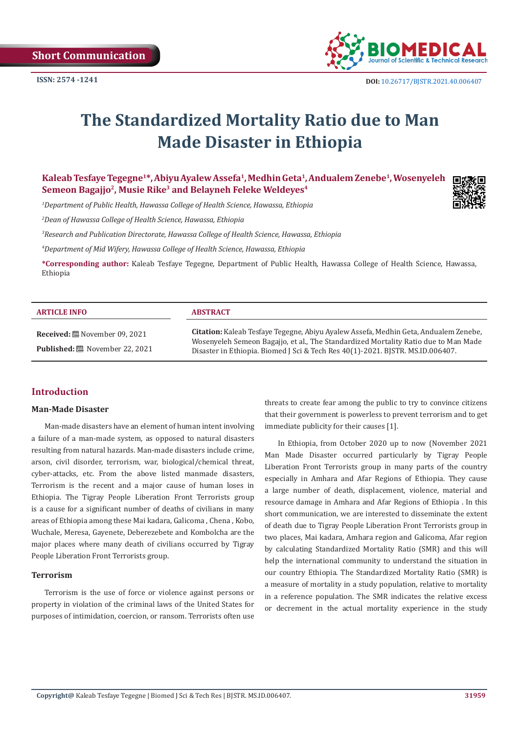

# **The Standardized Mortality Ratio due to Man Made Disaster in Ethiopia**

**Kaleab Tesfaye Tegegne1\*, Abiyu Ayalew Assefa1, Medhin Geta1, Andualem Zenebe1, Wosenyeleh Semeon Bagajjo2, Musie Rike3 and Belayneh Feleke Weldeyes4**

*1 Department of Public Health, Hawassa College of Health Science, Hawassa, Ethiopia* 

*2 Dean of Hawassa College of Health Science, Hawassa, Ethiopia* 

*3 Research and Publication Directorate, Hawassa College of Health Science, Hawassa, Ethiopia* 

*4 Department of Mid Wifery, Hawassa College of Health Science, Hawassa, Ethiopia*

**\*Corresponding author:** Kaleab Tesfaye Tegegne, Department of Public Health, Hawassa College of Health Science, Hawassa, Ethiopia

| <b>ARTICLE INFO</b>                                                        | <b>ABSTRACT</b>                                                                                                                                                                                                                                               |
|----------------------------------------------------------------------------|---------------------------------------------------------------------------------------------------------------------------------------------------------------------------------------------------------------------------------------------------------------|
| Received: [iii] November 09, 2021<br><b>Published:</b> ■ November 22, 2021 | Citation: Kaleab Tesfaye Tegegne, Abiyu Ayalew Assefa, Medhin Geta, Andualem Zenebe,<br>Wosenyeleh Semeon Bagajjo, et al., The Standardized Mortality Ratio due to Man Made<br>Disaster in Ethiopia. Biomed J Sci & Tech Res 40(1)-2021. BJSTR. MS.ID.006407. |

# **Introduction**

## **Man-Made Disaster**

Man-made disasters have an element of human intent involving a failure of a man-made system, as opposed to natural disasters resulting from natural hazards. Man-made disasters include crime, arson, civil disorder, terrorism, war, biological/chemical threat, cyber-attacks, etc. From the above listed manmade disasters, Terrorism is the recent and a major cause of human loses in Ethiopia. The Tigray People Liberation Front Terrorists group is a cause for a significant number of deaths of civilians in many areas of Ethiopia among these Mai kadara, Galicoma , Chena , Kobo, Wuchale, Meresa, Gayenete, Deberezebete and Kombolcha are the major places where many death of civilians occurred by Tigray People Liberation Front Terrorists group.

#### **Terrorism**

Terrorism is the use of force or violence against persons or property in violation of the criminal laws of the United States for purposes of intimidation, coercion, or ransom. Terrorists often use threats to create fear among the public to try to convince citizens that their government is powerless to prevent terrorism and to get immediate publicity for their causes [1].

In Ethiopia, from October 2020 up to now (November 2021 Man Made Disaster occurred particularly by Tigray People Liberation Front Terrorists group in many parts of the country especially in Amhara and Afar Regions of Ethiopia. They cause a large number of death, displacement, violence, material and resource damage in Amhara and Afar Regions of Ethiopia . In this short communication, we are interested to disseminate the extent of death due to Tigray People Liberation Front Terrorists group in two places, Mai kadara, Amhara region and Galicoma, Afar region by calculating Standardized Mortality Ratio (SMR) and this will help the international community to understand the situation in our country Ethiopia. The Standardized Mortality Ratio (SMR) is a measure of mortality in a study population, relative to mortality in a reference population. The SMR indicates the relative excess or decrement in the actual mortality experience in the study